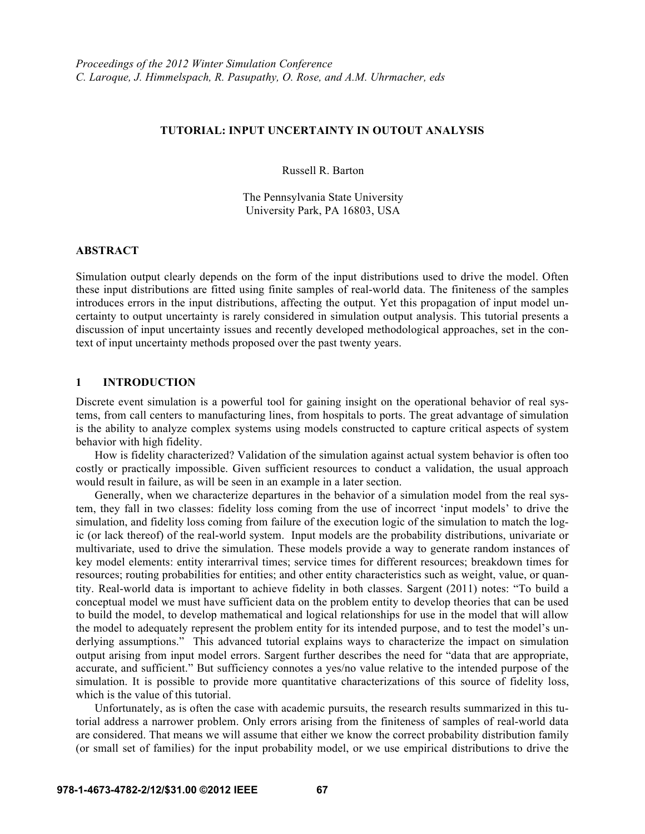## **TUTORIAL: INPUT UNCERTAINTY IN OUTOUT ANALYSIS**

Russell R. Barton

The Pennsylvania State University University Park, PA 16803, USA

## **ABSTRACT**

Simulation output clearly depends on the form of the input distributions used to drive the model. Often these input distributions are fitted using finite samples of real-world data. The finiteness of the samples introduces errors in the input distributions, affecting the output. Yet this propagation of input model uncertainty to output uncertainty is rarely considered in simulation output analysis. This tutorial presents a discussion of input uncertainty issues and recently developed methodological approaches, set in the context of input uncertainty methods proposed over the past twenty years.

# **1 INTRODUCTION**

Discrete event simulation is a powerful tool for gaining insight on the operational behavior of real systems, from call centers to manufacturing lines, from hospitals to ports. The great advantage of simulation is the ability to analyze complex systems using models constructed to capture critical aspects of system behavior with high fidelity.

How is fidelity characterized? Validation of the simulation against actual system behavior is often too costly or practically impossible. Given sufficient resources to conduct a validation, the usual approach would result in failure, as will be seen in an example in a later section.

Generally, when we characterize departures in the behavior of a simulation model from the real system, they fall in two classes: fidelity loss coming from the use of incorrect 'input models' to drive the simulation, and fidelity loss coming from failure of the execution logic of the simulation to match the logic (or lack thereof) of the real-world system. Input models are the probability distributions, univariate or multivariate, used to drive the simulation. These models provide a way to generate random instances of key model elements: entity interarrival times; service times for different resources; breakdown times for resources; routing probabilities for entities; and other entity characteristics such as weight, value, or quantity. Real-world data is important to achieve fidelity in both classes. Sargent (2011) notes: "To build a conceptual model we must have sufficient data on the problem entity to develop theories that can be used to build the model, to develop mathematical and logical relationships for use in the model that will allow the model to adequately represent the problem entity for its intended purpose, and to test the model's underlying assumptions." This advanced tutorial explains ways to characterize the impact on simulation output arising from input model errors. Sargent further describes the need for "data that are appropriate, accurate, and sufficient." But sufficiency connotes a yes/no value relative to the intended purpose of the simulation. It is possible to provide more quantitative characterizations of this source of fidelity loss, which is the value of this tutorial.

Unfortunately, as is often the case with academic pursuits, the research results summarized in this tutorial address a narrower problem. Only errors arising from the finiteness of samples of real-world data are considered. That means we will assume that either we know the correct probability distribution family (or small set of families) for the input probability model, or we use empirical distributions to drive the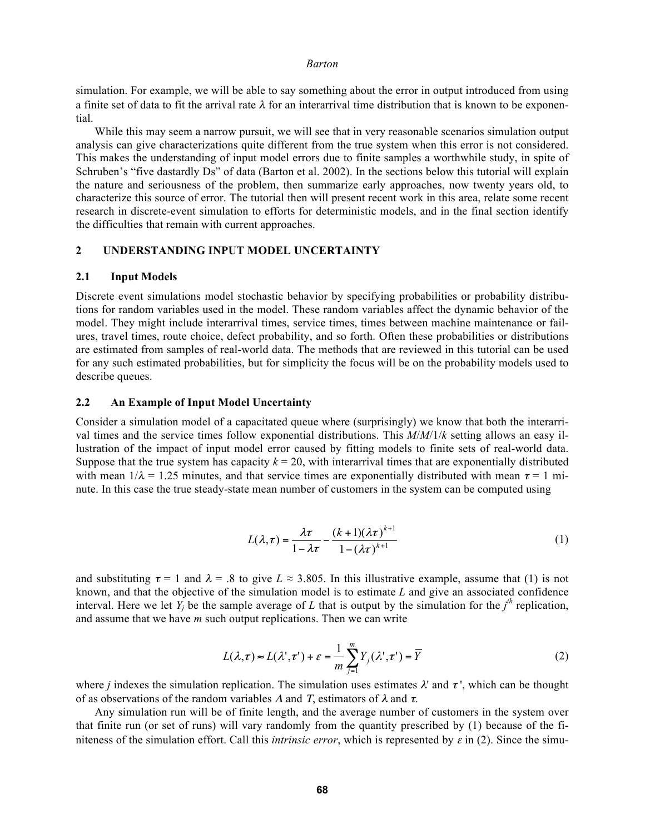simulation. For example, we will be able to say something about the error in output introduced from using a finite set of data to fit the arrival rate  $\lambda$  for an interarrival time distribution that is known to be exponential.

While this may seem a narrow pursuit, we will see that in very reasonable scenarios simulation output analysis can give characterizations quite different from the true system when this error is not considered. This makes the understanding of input model errors due to finite samples a worthwhile study, in spite of Schruben's "five dastardly Ds" of data (Barton et al. 2002). In the sections below this tutorial will explain the nature and seriousness of the problem, then summarize early approaches, now twenty years old, to characterize this source of error. The tutorial then will present recent work in this area, relate some recent research in discrete-event simulation to efforts for deterministic models, and in the final section identify the difficulties that remain with current approaches.

# **2 UNDERSTANDING INPUT MODEL UNCERTAINTY**

#### **2.1 Input Models**

Discrete event simulations model stochastic behavior by specifying probabilities or probability distributions for random variables used in the model. These random variables affect the dynamic behavior of the model. They might include interarrival times, service times, times between machine maintenance or failures, travel times, route choice, defect probability, and so forth. Often these probabilities or distributions are estimated from samples of real-world data. The methods that are reviewed in this tutorial can be used for any such estimated probabilities, but for simplicity the focus will be on the probability models used to describe queues.

## **2.2 An Example of Input Model Uncertainty**

Consider a simulation model of a capacitated queue where (surprisingly) we know that both the interarrival times and the service times follow exponential distributions. This *M*/*M*/1/*k* setting allows an easy illustration of the impact of input model error caused by fitting models to finite sets of real-world data. Suppose that the true system has capacity  $k = 20$ , with interarrival times that are exponentially distributed with mean  $1/\lambda = 1.25$  minutes, and that service times are exponentially distributed with mean  $\tau = 1$  minute. In this case the true steady-state mean number of customers in the system can be computed using

$$
L(\lambda, \tau) = \frac{\lambda \tau}{1 - \lambda \tau} - \frac{(k+1)(\lambda \tau)^{k+1}}{1 - (\lambda \tau)^{k+1}}
$$
(1)

and substituting  $\tau = 1$  and  $\lambda = .8$  to give  $L \approx 3.805$ . In this illustrative example, assume that (1) is not known, and that the objective of the simulation model is to estimate *L* and give an associated confidence interval. Here we let  $Y_j$  be the sample average of L that is output by the simulation for the  $j<sup>th</sup>$  replication, and assume that we have *m* such output replications. Then we can write

$$
L(\lambda, \tau) \approx L(\lambda', \tau') + \varepsilon = \frac{1}{m} \sum_{j=1}^{m} Y_j(\lambda', \tau') = \overline{Y}
$$
 (2)

where *j* indexes the simulation replication. The simulation uses estimates  $\lambda$ ' and  $\tau$ ', which can be thought of as observations of the random variables  $\Lambda$  and  $T$ , estimators of  $\lambda$  and  $\tau$ .

Any simulation run will be of finite length, and the average number of customers in the system over that finite run (or set of runs) will vary randomly from the quantity prescribed by (1) because of the finiteness of the simulation effort. Call this *intrinsic error*, which is represented by  $\varepsilon$  in (2). Since the simu-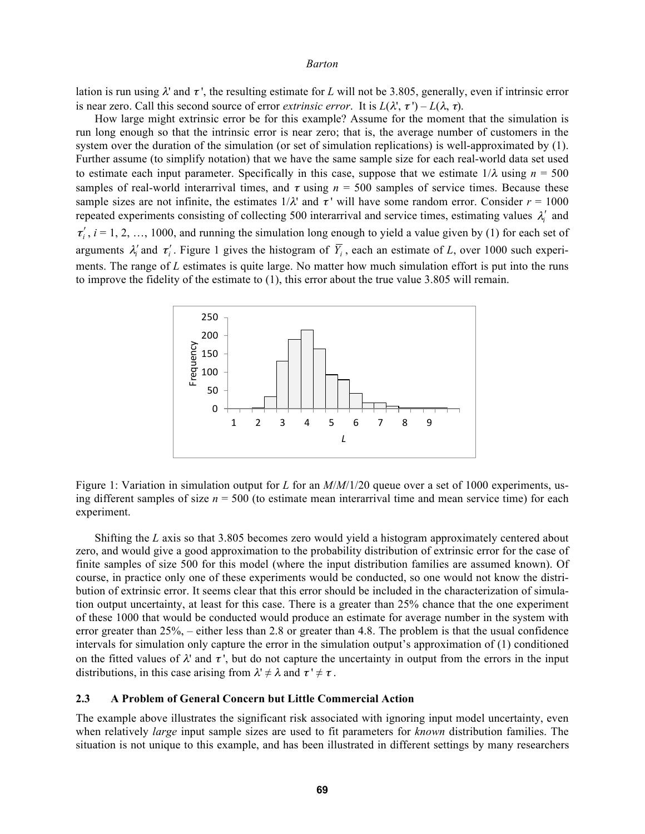lation is run using  $\lambda$  and  $\tau$ , the resulting estimate for *L* will not be 3.805, generally, even if intrinsic error is near zero. Call this second source of error *extrinsic error*. It is  $L(\lambda, \tau') - L(\lambda, \tau)$ .

How large might extrinsic error be for this example? Assume for the moment that the simulation is run long enough so that the intrinsic error is near zero; that is, the average number of customers in the system over the duration of the simulation (or set of simulation replications) is well-approximated by (1). Further assume (to simplify notation) that we have the same sample size for each real-world data set used to estimate each input parameter. Specifically in this case, suppose that we estimate  $1/\lambda$  using  $n = 500$ samples of real-world interarrival times, and  $\tau$  using  $n = 500$  samples of service times. Because these sample sizes are not infinite, the estimates  $1/\lambda$  and  $\tau$  will have some random error. Consider  $r = 1000$ repeated experiments consisting of collecting 500 interarrival and service times, estimating values  $\lambda_i'$  and  $\tau'_{i}$ ,  $i = 1, 2, ..., 1000$ , and running the simulation long enough to yield a value given by (1) for each set of arguments  $\lambda_i'$  and  $\tau_i'$ . Figure 1 gives the histogram of  $\overline{Y}_i$ , each an estimate of *L*, over 1000 such experiments. The range of *L* estimates is quite large. No matter how much simulation effort is put into the runs to improve the fidelity of the estimate to (1), this error about the true value 3.805 will remain.



Figure 1: Variation in simulation output for *L* for an *M*/*M*/1/20 queue over a set of 1000 experiments, using different samples of size  $n = 500$  (to estimate mean interarrival time and mean service time) for each experiment.

Shifting the *L* axis so that 3.805 becomes zero would yield a histogram approximately centered about zero, and would give a good approximation to the probability distribution of extrinsic error for the case of finite samples of size 500 for this model (where the input distribution families are assumed known). Of course, in practice only one of these experiments would be conducted, so one would not know the distribution of extrinsic error. It seems clear that this error should be included in the characterization of simulation output uncertainty, at least for this case. There is a greater than 25% chance that the one experiment of these 1000 that would be conducted would produce an estimate for average number in the system with error greater than 25%, – either less than 2.8 or greater than 4.8. The problem is that the usual confidence intervals for simulation only capture the error in the simulation output's approximation of (1) conditioned on the fitted values of  $\lambda$ ' and  $\tau$ ', but do not capture the uncertainty in output from the errors in the input distributions, in this case arising from  $\lambda' \neq \lambda$  and  $\tau' \neq \tau$ .

### **2.3 A Problem of General Concern but Little Commercial Action**

The example above illustrates the significant risk associated with ignoring input model uncertainty, even when relatively *large* input sample sizes are used to fit parameters for *known* distribution families. The situation is not unique to this example, and has been illustrated in different settings by many researchers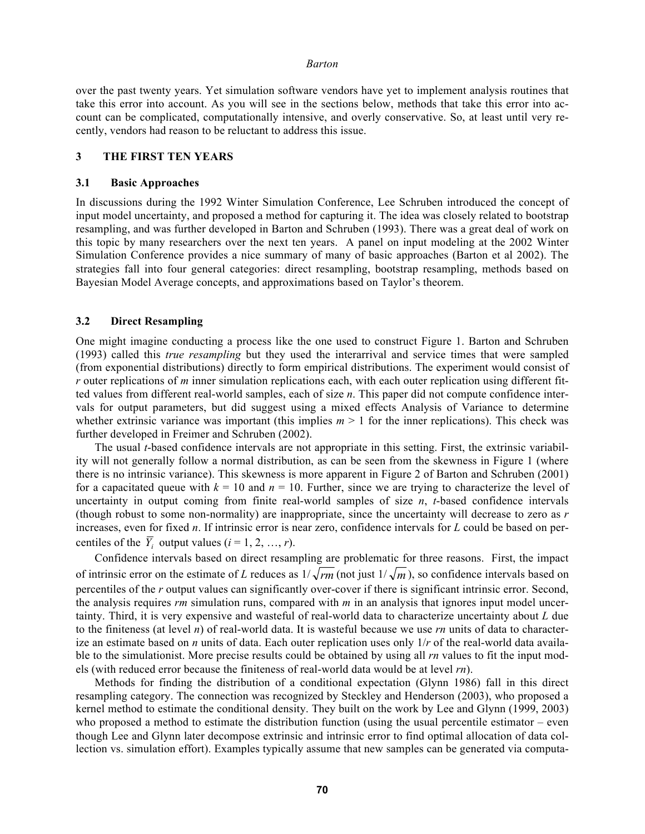over the past twenty years. Yet simulation software vendors have yet to implement analysis routines that take this error into account. As you will see in the sections below, methods that take this error into account can be complicated, computationally intensive, and overly conservative. So, at least until very recently, vendors had reason to be reluctant to address this issue.

## **3 THE FIRST TEN YEARS**

#### **3.1 Basic Approaches**

In discussions during the 1992 Winter Simulation Conference, Lee Schruben introduced the concept of input model uncertainty, and proposed a method for capturing it. The idea was closely related to bootstrap resampling, and was further developed in Barton and Schruben (1993). There was a great deal of work on this topic by many researchers over the next ten years. A panel on input modeling at the 2002 Winter Simulation Conference provides a nice summary of many of basic approaches (Barton et al 2002). The strategies fall into four general categories: direct resampling, bootstrap resampling, methods based on Bayesian Model Average concepts, and approximations based on Taylor's theorem.

## **3.2 Direct Resampling**

One might imagine conducting a process like the one used to construct Figure 1. Barton and Schruben (1993) called this *true resampling* but they used the interarrival and service times that were sampled (from exponential distributions) directly to form empirical distributions. The experiment would consist of *r* outer replications of *m* inner simulation replications each, with each outer replication using different fitted values from different real-world samples, each of size *n*. This paper did not compute confidence intervals for output parameters, but did suggest using a mixed effects Analysis of Variance to determine whether extrinsic variance was important (this implies  $m > 1$  for the inner replications). This check was further developed in Freimer and Schruben (2002).

The usual *t*-based confidence intervals are not appropriate in this setting. First, the extrinsic variability will not generally follow a normal distribution, as can be seen from the skewness in Figure 1 (where there is no intrinsic variance). This skewness is more apparent in Figure 2 of Barton and Schruben (2001) for a capacitated queue with  $k = 10$  and  $n = 10$ . Further, since we are trying to characterize the level of uncertainty in output coming from finite real-world samples of size *n*, *t*-based confidence intervals (though robust to some non-normality) are inappropriate, since the uncertainty will decrease to zero as *r* increases, even for fixed *n*. If intrinsic error is near zero, confidence intervals for *L* could be based on percentiles of the  $\overline{Y}_i$  output values (*i* = 1, 2, …, *r*).

Confidence intervals based on direct resampling are problematic for three reasons. First, the impact of intrinsic error on the estimate of *L* reduces as  $1/\sqrt{rm}$  (not just  $1/\sqrt{m}$ ), so confidence intervals based on percentiles of the *r* output values can significantly over-cover if there is significant intrinsic error. Second, the analysis requires *rm* simulation runs, compared with *m* in an analysis that ignores input model uncertainty. Third, it is very expensive and wasteful of real-world data to characterize uncertainty about *L* due to the finiteness (at level *n*) of real-world data. It is wasteful because we use *rn* units of data to characterize an estimate based on *n* units of data. Each outer replication uses only 1/*r* of the real-world data available to the simulationist. More precise results could be obtained by using all *rn* values to fit the input models (with reduced error because the finiteness of real-world data would be at level *rn*).

Methods for finding the distribution of a conditional expectation (Glynn 1986) fall in this direct resampling category. The connection was recognized by Steckley and Henderson (2003), who proposed a kernel method to estimate the conditional density. They built on the work by Lee and Glynn (1999, 2003) who proposed a method to estimate the distribution function (using the usual percentile estimator – even though Lee and Glynn later decompose extrinsic and intrinsic error to find optimal allocation of data collection vs. simulation effort). Examples typically assume that new samples can be generated via computa-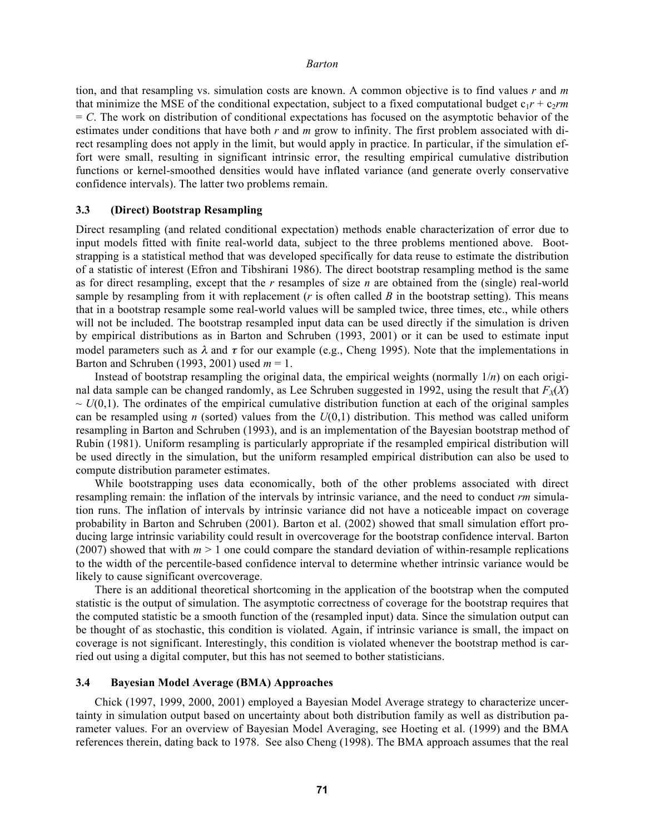tion, and that resampling vs. simulation costs are known. A common objective is to find values *r* and *m* that minimize the MSE of the conditional expectation, subject to a fixed computational budget  $c_1r + c_2rm$ = *C*. The work on distribution of conditional expectations has focused on the asymptotic behavior of the estimates under conditions that have both *r* and *m* grow to infinity. The first problem associated with direct resampling does not apply in the limit, but would apply in practice. In particular, if the simulation effort were small, resulting in significant intrinsic error, the resulting empirical cumulative distribution functions or kernel-smoothed densities would have inflated variance (and generate overly conservative confidence intervals). The latter two problems remain.

# **3.3 (Direct) Bootstrap Resampling**

Direct resampling (and related conditional expectation) methods enable characterization of error due to input models fitted with finite real-world data, subject to the three problems mentioned above. Bootstrapping is a statistical method that was developed specifically for data reuse to estimate the distribution of a statistic of interest (Efron and Tibshirani 1986). The direct bootstrap resampling method is the same as for direct resampling, except that the *r* resamples of size *n* are obtained from the (single) real-world sample by resampling from it with replacement (*r* is often called *B* in the bootstrap setting). This means that in a bootstrap resample some real-world values will be sampled twice, three times, etc., while others will not be included. The bootstrap resampled input data can be used directly if the simulation is driven by empirical distributions as in Barton and Schruben (1993, 2001) or it can be used to estimate input model parameters such as  $\lambda$  and  $\tau$  for our example (e.g., Cheng 1995). Note that the implementations in Barton and Schruben (1993, 2001) used *m* = 1.

 Instead of bootstrap resampling the original data, the empirical weights (normally 1/*n*) on each original data sample can be changed randomly, as Lee Schruben suggested in 1992, using the result that  $F<sub>x</sub>(X)$  $\sim U(0,1)$ . The ordinates of the empirical cumulative distribution function at each of the original samples can be resampled using *n* (sorted) values from the *U*(0,1) distribution. This method was called uniform resampling in Barton and Schruben (1993), and is an implementation of the Bayesian bootstrap method of Rubin (1981). Uniform resampling is particularly appropriate if the resampled empirical distribution will be used directly in the simulation, but the uniform resampled empirical distribution can also be used to compute distribution parameter estimates.

While bootstrapping uses data economically, both of the other problems associated with direct resampling remain: the inflation of the intervals by intrinsic variance, and the need to conduct *rm* simulation runs. The inflation of intervals by intrinsic variance did not have a noticeable impact on coverage probability in Barton and Schruben (2001). Barton et al. (2002) showed that small simulation effort producing large intrinsic variability could result in overcoverage for the bootstrap confidence interval. Barton (2007) showed that with  $m > 1$  one could compare the standard deviation of within-resample replications to the width of the percentile-based confidence interval to determine whether intrinsic variance would be likely to cause significant overcoverage.

There is an additional theoretical shortcoming in the application of the bootstrap when the computed statistic is the output of simulation. The asymptotic correctness of coverage for the bootstrap requires that the computed statistic be a smooth function of the (resampled input) data. Since the simulation output can be thought of as stochastic, this condition is violated. Again, if intrinsic variance is small, the impact on coverage is not significant. Interestingly, this condition is violated whenever the bootstrap method is carried out using a digital computer, but this has not seemed to bother statisticians.

### **3.4 Bayesian Model Average (BMA) Approaches**

Chick (1997, 1999, 2000, 2001) employed a Bayesian Model Average strategy to characterize uncertainty in simulation output based on uncertainty about both distribution family as well as distribution parameter values. For an overview of Bayesian Model Averaging, see Hoeting et al. (1999) and the BMA references therein, dating back to 1978. See also Cheng (1998). The BMA approach assumes that the real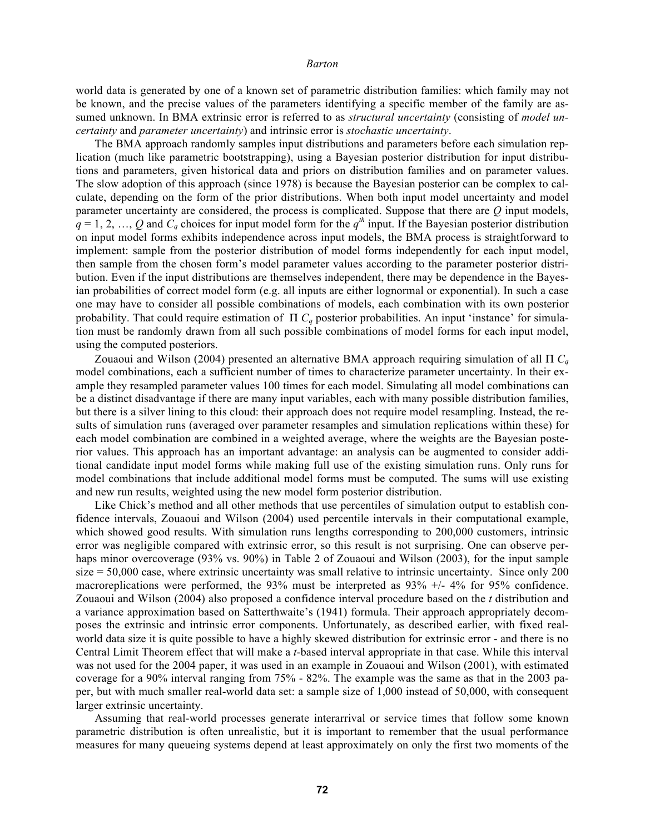world data is generated by one of a known set of parametric distribution families: which family may not be known, and the precise values of the parameters identifying a specific member of the family are assumed unknown. In BMA extrinsic error is referred to as *structural uncertainty* (consisting of *model uncertainty* and *parameter uncertainty*) and intrinsic error is *stochastic uncertainty*.

The BMA approach randomly samples input distributions and parameters before each simulation replication (much like parametric bootstrapping), using a Bayesian posterior distribution for input distributions and parameters, given historical data and priors on distribution families and on parameter values. The slow adoption of this approach (since 1978) is because the Bayesian posterior can be complex to calculate, depending on the form of the prior distributions. When both input model uncertainty and model parameter uncertainty are considered, the process is complicated. Suppose that there are *Q* input models,  $q = 1, 2, ..., Q$  and  $C_q$  choices for input model form for the  $q^{th}$  input. If the Bayesian posterior distribution on input model forms exhibits independence across input models, the BMA process is straightforward to implement: sample from the posterior distribution of model forms independently for each input model, then sample from the chosen form's model parameter values according to the parameter posterior distribution. Even if the input distributions are themselves independent, there may be dependence in the Bayesian probabilities of correct model form (e.g. all inputs are either lognormal or exponential). In such a case one may have to consider all possible combinations of models, each combination with its own posterior probability. That could require estimation of Π *Cq* posterior probabilities. An input 'instance' for simulation must be randomly drawn from all such possible combinations of model forms for each input model, using the computed posteriors.

Zouaoui and Wilson (2004) presented an alternative BMA approach requiring simulation of all Π *Cq* model combinations, each a sufficient number of times to characterize parameter uncertainty. In their example they resampled parameter values 100 times for each model. Simulating all model combinations can be a distinct disadvantage if there are many input variables, each with many possible distribution families, but there is a silver lining to this cloud: their approach does not require model resampling. Instead, the results of simulation runs (averaged over parameter resamples and simulation replications within these) for each model combination are combined in a weighted average, where the weights are the Bayesian posterior values. This approach has an important advantage: an analysis can be augmented to consider additional candidate input model forms while making full use of the existing simulation runs. Only runs for model combinations that include additional model forms must be computed. The sums will use existing and new run results, weighted using the new model form posterior distribution.

Like Chick's method and all other methods that use percentiles of simulation output to establish confidence intervals, Zouaoui and Wilson (2004) used percentile intervals in their computational example, which showed good results. With simulation runs lengths corresponding to 200,000 customers, intrinsic error was negligible compared with extrinsic error, so this result is not surprising. One can observe perhaps minor overcoverage (93% vs. 90%) in Table 2 of Zouaoui and Wilson (2003), for the input sample  $size = 50,000$  case, where extrinsic uncertainty was small relative to intrinsic uncertainty. Since only 200 macroreplications were performed, the 93% must be interpreted as 93% +/- 4% for 95% confidence. Zouaoui and Wilson (2004) also proposed a confidence interval procedure based on the *t* distribution and a variance approximation based on Satterthwaite's (1941) formula. Their approach appropriately decomposes the extrinsic and intrinsic error components. Unfortunately, as described earlier, with fixed realworld data size it is quite possible to have a highly skewed distribution for extrinsic error - and there is no Central Limit Theorem effect that will make a *t*-based interval appropriate in that case. While this interval was not used for the 2004 paper, it was used in an example in Zouaoui and Wilson (2001), with estimated coverage for a 90% interval ranging from 75% - 82%. The example was the same as that in the 2003 paper, but with much smaller real-world data set: a sample size of 1,000 instead of 50,000, with consequent larger extrinsic uncertainty.

Assuming that real-world processes generate interarrival or service times that follow some known parametric distribution is often unrealistic, but it is important to remember that the usual performance measures for many queueing systems depend at least approximately on only the first two moments of the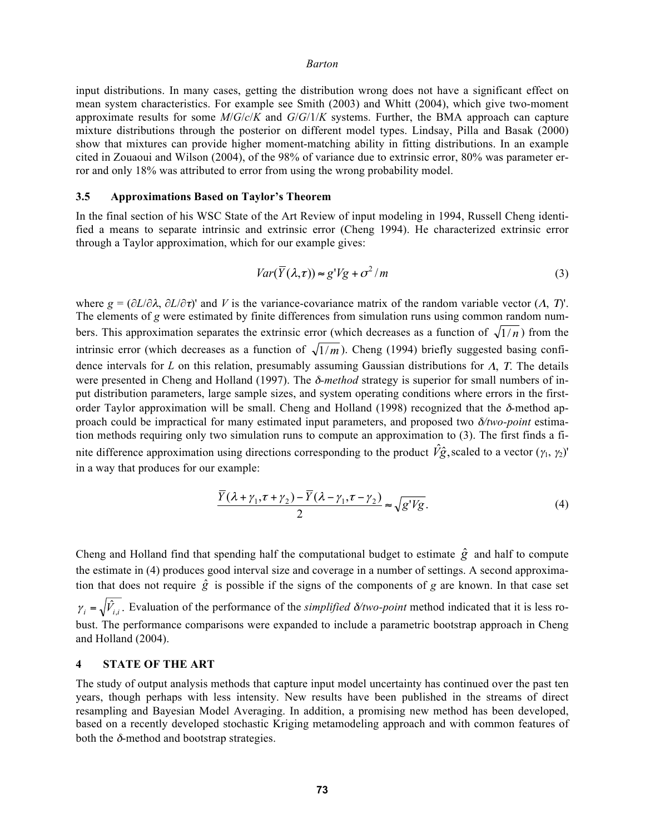input distributions. In many cases, getting the distribution wrong does not have a significant effect on mean system characteristics. For example see Smith (2003) and Whitt (2004), which give two-moment approximate results for some *M*/*G*/*c*/*K* and *G*/*G*/1/*K* systems. Further, the BMA approach can capture mixture distributions through the posterior on different model types. Lindsay, Pilla and Basak (2000) show that mixtures can provide higher moment-matching ability in fitting distributions. In an example cited in Zouaoui and Wilson (2004), of the 98% of variance due to extrinsic error, 80% was parameter error and only 18% was attributed to error from using the wrong probability model.

#### **3.5 Approximations Based on Taylor's Theorem**

In the final section of his WSC State of the Art Review of input modeling in 1994, Russell Cheng identified a means to separate intrinsic and extrinsic error (Cheng 1994). He characterized extrinsic error through a Taylor approximation, which for our example gives:

$$
Var(\overline{Y}(\lambda, \tau)) \approx g'Vg + \sigma^2/m
$$
\n(3)

where *g* =  $(∂L/∂λ, ∂L/∂τ)'$  and *V* is the variance-covariance matrix of the random variable vector (Λ, Τ). The elements of *g* were estimated by finite differences from simulation runs using common random numbers. This approximation separates the extrinsic error (which decreases as a function of  $\sqrt{1/n}$ ) from the intrinsic error (which decreases as a function of  $\sqrt{1/m}$ ). Cheng (1994) briefly suggested basing confidence intervals for *L* on this relation, presumably assuming Gaussian distributions for Λ, Τ. The details were presented in Cheng and Holland (1997). The δ*-method* strategy is superior for small numbers of input distribution parameters, large sample sizes, and system operating conditions where errors in the firstorder Taylor approximation will be small. Cheng and Holland (1998) recognized that the δ*-*method approach could be impractical for many estimated input parameters, and proposed two δ*/two-point* estimation methods requiring only two simulation runs to compute an approximation to (3). The first finds a finite difference approximation using directions corresponding to the product  $\hat{V}_{g}$ , scaled to a vector  $(\gamma_1, \gamma_2)'$ in a way that produces for our example:

$$
\frac{\overline{Y}(\lambda + \gamma_1, \tau + \gamma_2) - \overline{Y}(\lambda - \gamma_1, \tau - \gamma_2)}{2} \approx \sqrt{g'Vg}.
$$
\n(4)

Cheng and Holland find that spending half the computational budget to estimate  $\hat{g}$  and half to compute the estimate in (4) produces good interval size and coverage in a number of settings. A second approximation that does not require  $\hat{g}$  is possible if the signs of the components of *g* are known. In that case set  $\gamma_i = \sqrt{\hat{V}_{i,i}}$ . Evaluation of the performance of the *simplified*  $\delta$ */two-point* method indicated that it is less robust. The performance comparisons were expanded to include a parametric bootstrap approach in Cheng and Holland (2004).

## **4 STATE OF THE ART**

The study of output analysis methods that capture input model uncertainty has continued over the past ten years, though perhaps with less intensity. New results have been published in the streams of direct resampling and Bayesian Model Averaging. In addition, a promising new method has been developed, based on a recently developed stochastic Kriging metamodeling approach and with common features of both the  $\delta$ -method and bootstrap strategies.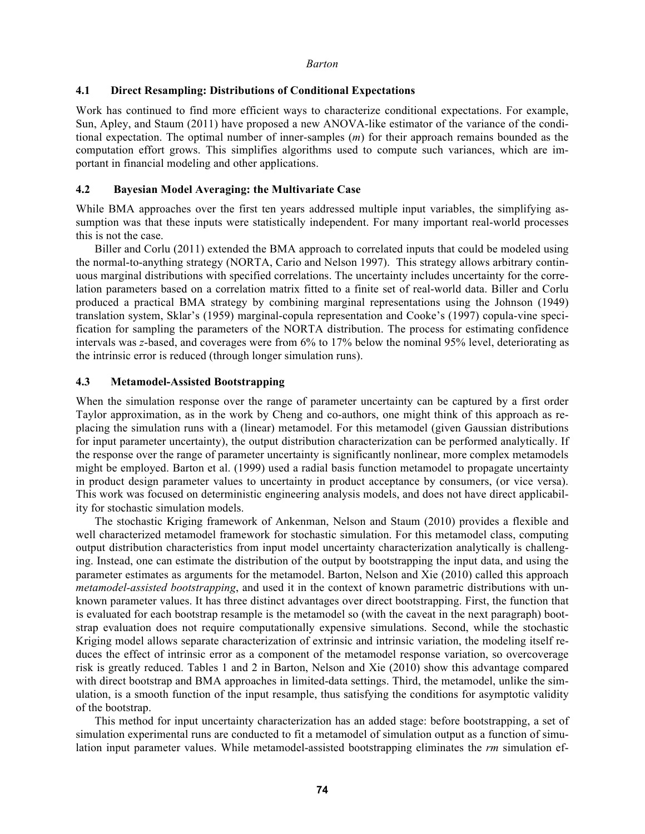## **4.1 Direct Resampling: Distributions of Conditional Expectations**

Work has continued to find more efficient ways to characterize conditional expectations. For example, Sun, Apley, and Staum (2011) have proposed a new ANOVA-like estimator of the variance of the conditional expectation. The optimal number of inner-samples (*m*) for their approach remains bounded as the computation effort grows. This simplifies algorithms used to compute such variances, which are important in financial modeling and other applications.

## **4.2 Bayesian Model Averaging: the Multivariate Case**

While BMA approaches over the first ten years addressed multiple input variables, the simplifying assumption was that these inputs were statistically independent. For many important real-world processes this is not the case.

Biller and Corlu (2011) extended the BMA approach to correlated inputs that could be modeled using the normal-to-anything strategy (NORTA, Cario and Nelson 1997). This strategy allows arbitrary continuous marginal distributions with specified correlations. The uncertainty includes uncertainty for the correlation parameters based on a correlation matrix fitted to a finite set of real-world data. Biller and Corlu produced a practical BMA strategy by combining marginal representations using the Johnson (1949) translation system, Sklar's (1959) marginal-copula representation and Cooke's (1997) copula-vine specification for sampling the parameters of the NORTA distribution. The process for estimating confidence intervals was *z*-based, and coverages were from 6% to 17% below the nominal 95% level, deteriorating as the intrinsic error is reduced (through longer simulation runs).

## **4.3 Metamodel-Assisted Bootstrapping**

When the simulation response over the range of parameter uncertainty can be captured by a first order Taylor approximation, as in the work by Cheng and co-authors, one might think of this approach as replacing the simulation runs with a (linear) metamodel. For this metamodel (given Gaussian distributions for input parameter uncertainty), the output distribution characterization can be performed analytically. If the response over the range of parameter uncertainty is significantly nonlinear, more complex metamodels might be employed. Barton et al. (1999) used a radial basis function metamodel to propagate uncertainty in product design parameter values to uncertainty in product acceptance by consumers, (or vice versa). This work was focused on deterministic engineering analysis models, and does not have direct applicability for stochastic simulation models.

The stochastic Kriging framework of Ankenman, Nelson and Staum (2010) provides a flexible and well characterized metamodel framework for stochastic simulation. For this metamodel class, computing output distribution characteristics from input model uncertainty characterization analytically is challenging. Instead, one can estimate the distribution of the output by bootstrapping the input data, and using the parameter estimates as arguments for the metamodel. Barton, Nelson and Xie (2010) called this approach *metamodel-assisted bootstrapping*, and used it in the context of known parametric distributions with unknown parameter values. It has three distinct advantages over direct bootstrapping. First, the function that is evaluated for each bootstrap resample is the metamodel so (with the caveat in the next paragraph) bootstrap evaluation does not require computationally expensive simulations. Second, while the stochastic Kriging model allows separate characterization of extrinsic and intrinsic variation, the modeling itself reduces the effect of intrinsic error as a component of the metamodel response variation, so overcoverage risk is greatly reduced. Tables 1 and 2 in Barton, Nelson and Xie (2010) show this advantage compared with direct bootstrap and BMA approaches in limited-data settings. Third, the metamodel, unlike the simulation, is a smooth function of the input resample, thus satisfying the conditions for asymptotic validity of the bootstrap.

This method for input uncertainty characterization has an added stage: before bootstrapping, a set of simulation experimental runs are conducted to fit a metamodel of simulation output as a function of simulation input parameter values. While metamodel-assisted bootstrapping eliminates the *rm* simulation ef-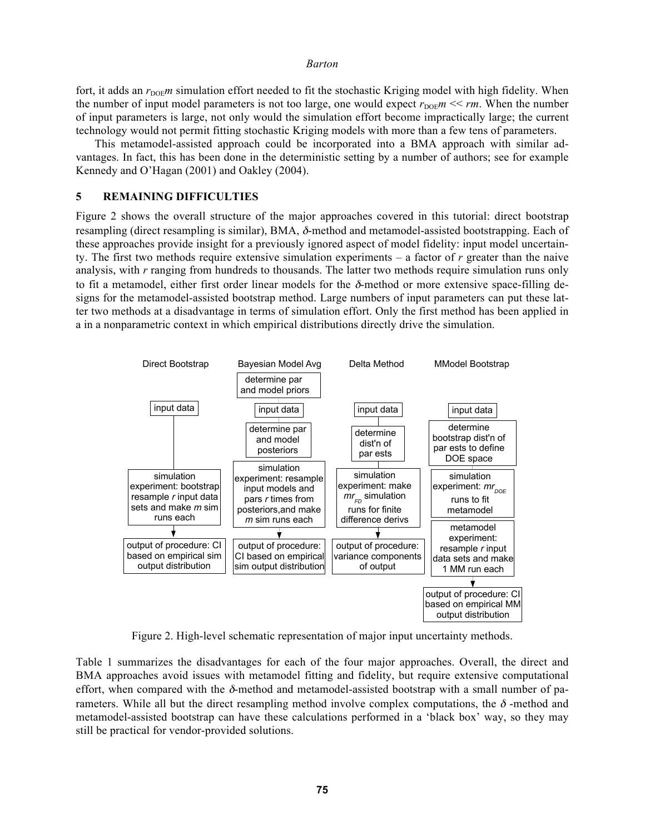fort, it adds an  $r_{\text{DOE}}$ *m* simulation effort needed to fit the stochastic Kriging model with high fidelity. When the number of input model parameters is not too large, one would expect  $r_{\text{DOE}}/m \ll rm$ . When the number of input parameters is large, not only would the simulation effort become impractically large; the current technology would not permit fitting stochastic Kriging models with more than a few tens of parameters.

This metamodel-assisted approach could be incorporated into a BMA approach with similar advantages. In fact, this has been done in the deterministic setting by a number of authors; see for example Kennedy and O'Hagan (2001) and Oakley (2004).

## **5 REMAINING DIFFICULTIES**

Figure 2 shows the overall structure of the major approaches covered in this tutorial: direct bootstrap resampling (direct resampling is similar), BMA, δ-method and metamodel-assisted bootstrapping. Each of these approaches provide insight for a previously ignored aspect of model fidelity: input model uncertainty. The first two methods require extensive simulation experiments – a factor of *r* greater than the naive analysis, with *r* ranging from hundreds to thousands. The latter two methods require simulation runs only to fit a metamodel, either first order linear models for the  $\delta$ -method or more extensive space-filling designs for the metamodel-assisted bootstrap method. Large numbers of input parameters can put these latter two methods at a disadvantage in terms of simulation effort. Only the first method has been applied in a in a nonparametric context in which empirical distributions directly drive the simulation.



Figure 2. High-level schematic representation of major input uncertainty methods.

Table 1 summarizes the disadvantages for each of the four major approaches. Overall, the direct and BMA approaches avoid issues with metamodel fitting and fidelity, but require extensive computational effort, when compared with the  $\delta$ -method and metamodel-assisted bootstrap with a small number of parameters. While all but the direct resampling method involve complex computations, the  $\delta$ -method and metamodel-assisted bootstrap can have these calculations performed in a 'black box' way, so they may still be practical for vendor-provided solutions.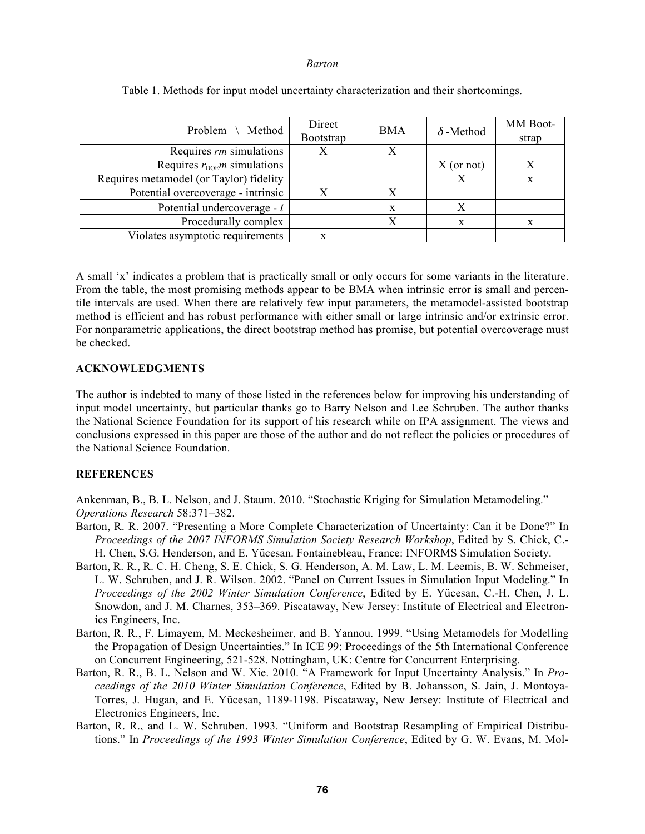| Problem \ Method                               | Direct<br>Bootstrap | <b>BMA</b> | $\delta$ -Method | MM Boot-<br>strap |
|------------------------------------------------|---------------------|------------|------------------|-------------------|
| Requires rm simulations                        |                     | Х          |                  |                   |
| Requires $r_{\text{DOE}}$ <i>m</i> simulations |                     |            | $X$ (or not)     |                   |
| Requires metamodel (or Taylor) fidelity        |                     |            |                  |                   |
| Potential overcoverage - intrinsic             |                     | X          |                  |                   |
| Potential undercoverage - $t$                  |                     | X          |                  |                   |
| Procedurally complex                           |                     |            | X                |                   |
| Violates asymptotic requirements               |                     |            |                  |                   |

Table 1. Methods for input model uncertainty characterization and their shortcomings.

A small 'x' indicates a problem that is practically small or only occurs for some variants in the literature. From the table, the most promising methods appear to be BMA when intrinsic error is small and percentile intervals are used. When there are relatively few input parameters, the metamodel-assisted bootstrap method is efficient and has robust performance with either small or large intrinsic and/or extrinsic error. For nonparametric applications, the direct bootstrap method has promise, but potential overcoverage must be checked.

## **ACKNOWLEDGMENTS**

The author is indebted to many of those listed in the references below for improving his understanding of input model uncertainty, but particular thanks go to Barry Nelson and Lee Schruben. The author thanks the National Science Foundation for its support of his research while on IPA assignment. The views and conclusions expressed in this paper are those of the author and do not reflect the policies or procedures of the National Science Foundation.

# **REFERENCES**

Ankenman, B., B. L. Nelson, and J. Staum. 2010. "Stochastic Kriging for Simulation Metamodeling." *Operations Research* 58:371–382.

- Barton, R. R. 2007. "Presenting a More Complete Characterization of Uncertainty: Can it be Done?" In *Proceedings of the 2007 INFORMS Simulation Society Research Workshop*, Edited by S. Chick, C.- H. Chen, S.G. Henderson, and E. Yücesan. Fontainebleau, France: INFORMS Simulation Society.
- Barton, R. R., R. C. H. Cheng, S. E. Chick, S. G. Henderson, A. M. Law, L. M. Leemis, B. W. Schmeiser, L. W. Schruben, and J. R. Wilson. 2002. "Panel on Current Issues in Simulation Input Modeling." In *Proceedings of the 2002 Winter Simulation Conference*, Edited by E. Yücesan, C.-H. Chen, J. L. Snowdon, and J. M. Charnes, 353–369. Piscataway, New Jersey: Institute of Electrical and Electronics Engineers, Inc.
- Barton, R. R., F. Limayem, M. Meckesheimer, and B. Yannou. 1999. "Using Metamodels for Modelling the Propagation of Design Uncertainties." In ICE 99: Proceedings of the 5th International Conference on Concurrent Engineering, 521-528. Nottingham, UK: Centre for Concurrent Enterprising.
- Barton, R. R., B. L. Nelson and W. Xie. 2010. "A Framework for Input Uncertainty Analysis." In *Proceedings of the 2010 Winter Simulation Conference*, Edited by B. Johansson, S. Jain, J. Montoya-Torres, J. Hugan, and E. Yücesan, 1189-1198. Piscataway, New Jersey: Institute of Electrical and Electronics Engineers, Inc.
- Barton, R. R., and L. W. Schruben. 1993. "Uniform and Bootstrap Resampling of Empirical Distributions." In *Proceedings of the 1993 Winter Simulation Conference*, Edited by G. W. Evans, M. Mol-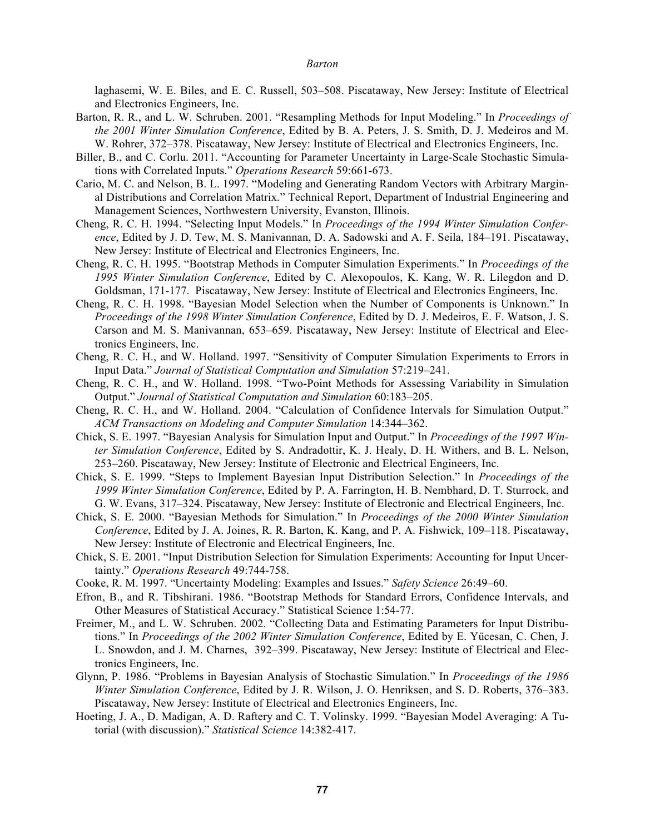laghasemi, W. E. Biles, and E. C. Russell, 503–508. Piscataway, New Jersey: Institute of Electrical and Electronics Engineers, Inc.

- Barton, R. R., and L. W. Schruben. 2001. "Resampling Methods for Input Modeling." In *Proceedings of the 2001 Winter Simulation Conference*, Edited by B. A. Peters, J. S. Smith, D. J. Medeiros and M. W. Rohrer, 372–378. Piscataway, New Jersey: Institute of Electrical and Electronics Engineers, Inc.
- Biller, B., and C. Corlu. 2011. "Accounting for Parameter Uncertainty in Large-Scale Stochastic Simulations with Correlated Inputs." *Operations Research* 59:661-673.
- Cario, M. C. and Nelson, B. L. 1997. "Modeling and Generating Random Vectors with Arbitrary Marginal Distributions and Correlation Matrix." Technical Report, Department of Industrial Engineering and Management Sciences, Northwestern University, Evanston, Illinois.
- Cheng, R. C. H. 1994. "Selecting Input Models." In *Proceedings of the 1994 Winter Simulation Conference*, Edited by J. D. Tew, M. S. Manivannan, D. A. Sadowski and A. F. Seila, 184–191. Piscataway, New Jersey: Institute of Electrical and Electronics Engineers, Inc.
- Cheng, R. C. H. 1995. "Bootstrap Methods in Computer Simulation Experiments." In *Proceedings of the 1995 Winter Simulation Conference*, Edited by C. Alexopoulos, K. Kang, W. R. Lilegdon and D. Goldsman, 171-177. Piscataway, New Jersey: Institute of Electrical and Electronics Engineers, Inc.
- Cheng, R. C. H. 1998. "Bayesian Model Selection when the Number of Components is Unknown." In *Proceedings of the 1998 Winter Simulation Conference*, Edited by D. J. Medeiros, E. F. Watson, J. S. Carson and M. S. Manivannan, 653–659. Piscataway, New Jersey: Institute of Electrical and Electronics Engineers, Inc.
- Cheng, R. C. H., and W. Holland. 1997. "Sensitivity of Computer Simulation Experiments to Errors in Input Data." *Journal of Statistical Computation and Simulation* 57:219–241.
- Cheng, R. C. H., and W. Holland. 1998. "Two-Point Methods for Assessing Variability in Simulation Output." *Journal of Statistical Computation and Simulation* 60:183–205.
- Cheng, R. C. H., and W. Holland. 2004. "Calculation of Confidence Intervals for Simulation Output." *ACM Transactions on Modeling and Computer Simulation* 14:344–362.
- Chick, S. E. 1997. "Bayesian Analysis for Simulation Input and Output." In *Proceedings of the 1997 Winter Simulation Conference*, Edited by S. Andradottir, K. J. Healy, D. H. Withers, and B. L. Nelson, 253–260. Piscataway, New Jersey: Institute of Electronic and Electrical Engineers, Inc.
- Chick, S. E. 1999. "Steps to Implement Bayesian Input Distribution Selection." In *Proceedings of the 1999 Winter Simulation Conference*, Edited by P. A. Farrington, H. B. Nembhard, D. T. Sturrock, and G. W. Evans, 317–324. Piscataway, New Jersey: Institute of Electronic and Electrical Engineers, Inc.
- Chick, S. E. 2000. "Bayesian Methods for Simulation." In *Proceedings of the 2000 Winter Simulation Conference*, Edited by J. A. Joines, R. R. Barton, K. Kang, and P. A. Fishwick, 109–118. Piscataway, New Jersey: Institute of Electronic and Electrical Engineers, Inc.
- Chick, S. E. 2001. "Input Distribution Selection for Simulation Experiments: Accounting for Input Uncertainty." *Operations Research* 49:744-758.
- Cooke, R. M. 1997. "Uncertainty Modeling: Examples and Issues." *Safety Science* 26:49–60.
- Efron, B., and R. Tibshirani. 1986. "Bootstrap Methods for Standard Errors, Confidence Intervals, and Other Measures of Statistical Accuracy." Statistical Science 1:54-77.
- Freimer, M., and L. W. Schruben. 2002. "Collecting Data and Estimating Parameters for Input Distributions." In *Proceedings of the 2002 Winter Simulation Conference*, Edited by E. Yücesan, C. Chen, J. L. Snowdon, and J. M. Charnes, 392–399. Piscataway, New Jersey: Institute of Electrical and Electronics Engineers, Inc.
- Glynn, P. 1986. "Problems in Bayesian Analysis of Stochastic Simulation." In *Proceedings of the 1986 Winter Simulation Conference*, Edited by J. R. Wilson, J. O. Henriksen, and S. D. Roberts, 376–383. Piscataway, New Jersey: Institute of Electrical and Electronics Engineers, Inc.
- Hoeting, J. A., D. Madigan, A. D. Raftery and C. T. Volinsky. 1999. "Bayesian Model Averaging: A Tutorial (with discussion)." *Statistical Science* 14:382-417.